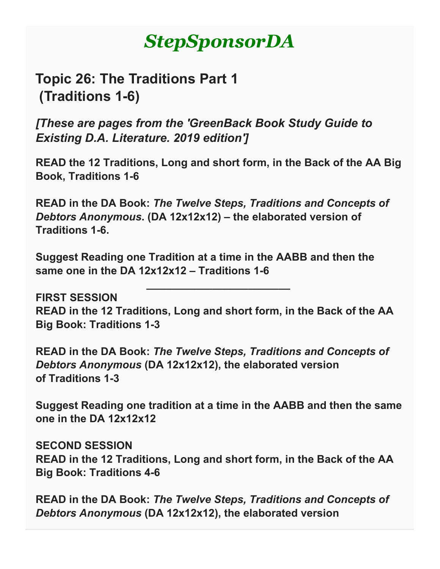# *StepSponsorDA*

## **Topic 26: The Traditions Part 1 (Traditions 1-6)**

*[These are pages from the 'GreenBack Book Study Guide to Existing D.A. Literature. 2019 edition']*

**READ the 12 Traditions, Long and short form, in the Back of the AA Big Book, Traditions 1-6**

**READ in the DA Book:** *The Twelve Steps, Traditions and Concepts of Debtors Anonymous***. (DA 12x12x12) – the elaborated version of Traditions 1-6.**

**Suggest Reading one Tradition at a time in the AABB and then the same one in the DA 12x12x12 – Traditions 1-6**

**FIRST SESSION READ in the 12 Traditions, Long and short form, in the Back of the AA Big Book: Traditions 1-3**

**\_\_\_\_\_\_\_\_\_\_\_\_\_\_\_\_\_\_\_\_\_\_\_\_**

**READ in the DA Book:** *The Twelve Steps, Traditions and Concepts of Debtors Anonymous* **(DA 12x12x12), the elaborated version of Traditions 1-3**

**Suggest Reading one tradition at a time in the AABB and then the same one in the DA 12x12x12**

**SECOND SESSION READ in the 12 Traditions, Long and short form, in the Back of the AA Big Book: Traditions 4-6**

**READ in the DA Book:** *The Twelve Steps, Traditions and Concepts of Debtors Anonymous* **(DA 12x12x12), the elaborated version**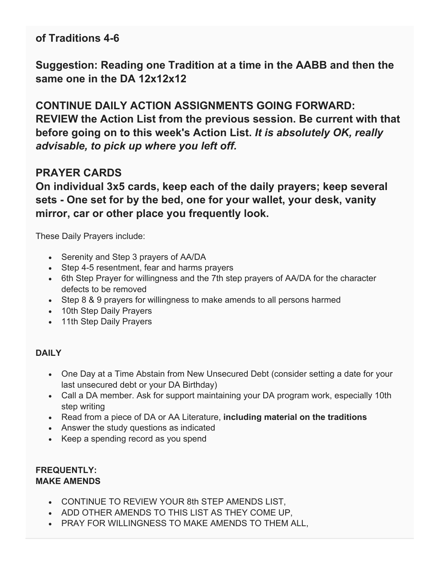### **of Traditions 4-6**

**Suggestion: Reading one Tradition at a time in the AABB and then the same one in the DA 12x12x12**

**CONTINUE DAILY ACTION ASSIGNMENTS GOING FORWARD: REVIEW the Action List from the previous session. Be current with that before going on to this week's Action List.** *It is absolutely OK, really advisable, to pick up where you left off.*

## **PRAYER CARDS**

**On individual 3x5 cards, keep each of the daily prayers; keep several sets - One set for by the bed, one for your wallet, your desk, vanity mirror, car or other place you frequently look.**

These Daily Prayers include:

- Serenity and Step 3 prayers of AA/DA
- Step 4-5 resentment, fear and harms prayers
- 6th Step Prayer for willingness and the 7th step prayers of AA/DA for the character defects to be removed
- Step 8 & 9 prayers for willingness to make amends to all persons harmed
- 10th Step Daily Prayers
- 11th Step Daily Prayers

#### **DAILY**

- One Day at a Time Abstain from New Unsecured Debt (consider setting a date for your last unsecured debt or your DA Birthday)
- Call a DA member. Ask for support maintaining your DA program work, especially 10th step writing
- Read from a piece of DA or AA Literature, **including material on the traditions**
- Answer the study questions as indicated
- Keep a spending record as you spend

#### **FREQUENTLY: MAKE AMENDS**

- CONTINUE TO REVIEW YOUR 8th STEP AMENDS LIST,
- ADD OTHER AMENDS TO THIS LIST AS THEY COME UP,
- PRAY FOR WILLINGNESS TO MAKE AMENDS TO THEM ALL,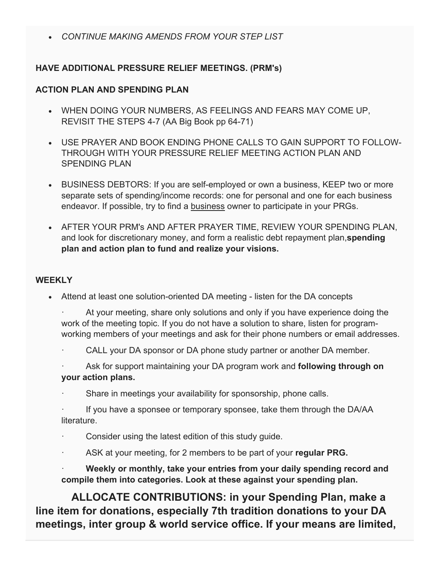• *CONTINUE MAKING AMENDS FROM YOUR STEP LIST*

#### **HAVE ADDITIONAL PRESSURE RELIEF MEETINGS. (PRM's)**

#### **ACTION PLAN AND SPENDING PLAN**

- WHEN DOING YOUR NUMBERS, AS FEELINGS AND FEARS MAY COME UP, REVISIT THE STEPS 4-7 (AA Big Book pp 64-71)
- USE PRAYER AND BOOK ENDING PHONE CALLS TO GAIN SUPPORT TO FOLLOW-THROUGH WITH YOUR PRESSURE RELIEF MEETING ACTION PLAN AND SPENDING PLAN
- BUSINESS DEBTORS: If you are self-employed or own a business, KEEP two or more separate sets of spending/income records: one for personal and one for each business endeavor. If possible, try to find a business owner to participate in your PRGs.
- AFTER YOUR PRM's AND AFTER PRAYER TIME, REVIEW YOUR SPENDING PLAN, and look for discretionary money, and form a realistic debt repayment plan,**spending plan and action plan to fund and realize your visions.**

#### **WEEKLY**

- Attend at least one solution-oriented DA meeting listen for the DA concepts
	- At your meeting, share only solutions and only if you have experience doing the work of the meeting topic. If you do not have a solution to share, listen for programworking members of your meetings and ask for their phone numbers or email addresses.
	- CALL your DA sponsor or DA phone study partner or another DA member.
	- Ask for support maintaining your DA program work and **following through on your action plans.**
	- Share in meetings your availability for sponsorship, phone calls.
	- If you have a sponsee or temporary sponsee, take them through the DA/AA literature.
	- Consider using the latest edition of this study guide.
	- · ASK at your meeting, for 2 members to be part of your **regular PRG.**
	- · **Weekly or monthly, take your entries from your daily spending record and compile them into categories. Look at these against your spending plan.**

 **ALLOCATE CONTRIBUTIONS: in your Spending Plan, make a line item for donations, especially 7th tradition donations to your DA meetings, inter group & world service office. If your means are limited,**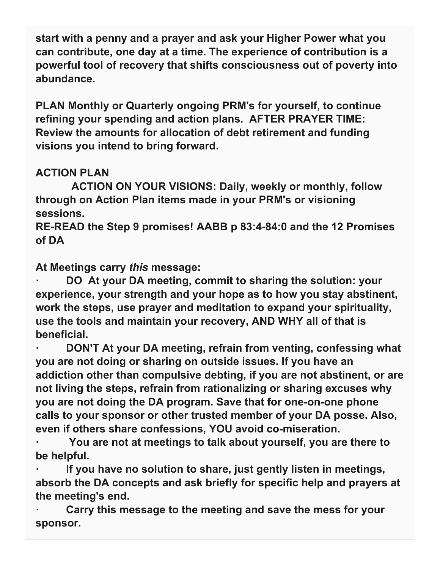**start with a penny and a prayer and ask your Higher Power what you can contribute, one day at a time. The experience of contribution is a powerful tool of recovery that shifts consciousness out of poverty into abundance.**

**PLAN Monthly or Quarterly ongoing PRM's for yourself, to continue refining your spending and action plans. AFTER PRAYER TIME: Review the amounts for allocation of debt retirement and funding visions you intend to bring forward.**

## **ACTION PLAN**

 **ACTION ON YOUR VISIONS: Daily, weekly or monthly, follow through on Action Plan items made in your PRM's or visioning sessions.**

**RE-READ the Step 9 promises! AABB p 83:4-84:0 and the 12 Promises of DA**

**At Meetings carry** *this* **message:**

**· DO At your DA meeting, commit to sharing the solution: your experience, your strength and your hope as to how you stay abstinent, work the steps, use prayer and meditation to expand your spirituality, use the tools and maintain your recovery, AND WHY all of that is beneficial.**

**· DON'T At your DA meeting, refrain from venting, confessing what you are not doing or sharing on outside issues. If you have an addiction other than compulsive debting, if you are not abstinent, or are not living the steps, refrain from rationalizing or sharing excuses why you are not doing the DA program. Save that for one-on-one phone calls to your sponsor or other trusted member of your DA posse. Also, even if others share confessions, YOU avoid co-miseration.**

**· You are not at meetings to talk about yourself, you are there to be helpful.**

**· If you have no solution to share, just gently listen in meetings, absorb the DA concepts and ask briefly for specific help and prayers at the meeting's end.**

**· Carry this message to the meeting and save the mess for your sponsor.**